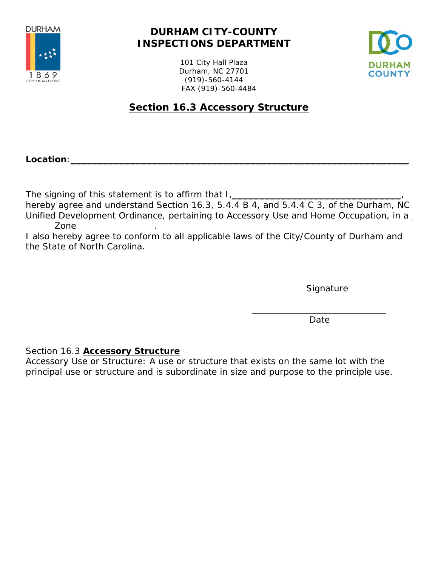

## **DURHAM CITY-COUNTY INSPECTIONS DEPARTMENT**

101 City Hall Plaza Durham, NC 27701 (919)-560-4144 FAX (919)-560-4484



# **Section 16.3 Accessory Structure**

**Location**:

The signing of this statement is to affirm that I,

hereby agree and understand Section 16.3, 5.4.4 B 4, and 5.4.4 C 3, of the Durham, NC Unified Development Ordinance, pertaining to Accessory Use and Home Occupation, in a Zone .

I also hereby agree to conform to all applicable laws of the City/County of Durham and the State of North Carolina.

Signature

de de la construction de la construction de la construction de la construction de la construction de la constr

Section 16.3 **Accessory Structure**

Accessory Use or Structure: A use or structure that exists on the same lot with the principal use or structure and is subordinate in size and purpose to the principle use.